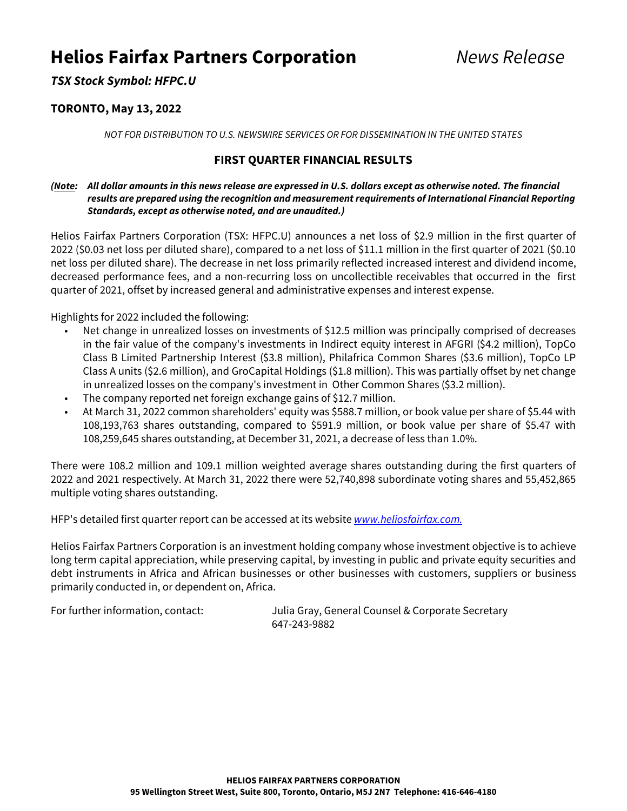# **Helios Fairfax Partners Corporation** Mews Release

**TSX Stock Symbol: HFPC.U**

## **TORONTO, May 13, 2022**

NOT FOR DISTRIBUTION TO U.S. NEWSWIRE SERVICES OR FOR DISSEMINATION IN THE UNITED STATES

## **FIRST QUARTER FINANCIAL RESULTS**

### **(Note: All dollar amounts in this news release are expressed in U.S. dollars except as otherwise noted. The financial results are prepared using the recognition and measurement requirements of International Financial Reporting Standards, except as otherwise noted, and are unaudited.)**

Helios Fairfax Partners Corporation (TSX: HFPC.U) announces a net loss of \$2.9 million in the first quarter of 2022 (\$0.03 net loss per diluted share), compared to a net loss of \$11.1 million in the first quarter of 2021 (\$0.10 net loss per diluted share). The decrease in net loss primarily reflected increased interest and dividend income, decreased performance fees, and a non-recurring loss on uncollectible receivables that occurred in the first quarter of 2021, offset by increased general and administrative expenses and interest expense.

Highlights for 2022 included the following:

- Net change in unrealized losses on investments of \$12.5 million was principally comprised of decreases in the fair value of the company's investments in Indirect equity interest in AFGRI (\$4.2 million), TopCo Class B Limited Partnership Interest (\$3.8 million), Philafrica Common Shares (\$3.6 million), TopCo LP Class A units (\$2.6 million), and GroCapital Holdings (\$1.8 million). This was partially offset by net change in unrealized losses on the company's investment in Other Common Shares (\$3.2 million).
- The company reported net foreign exchange gains of \$12.7 million.
- At March 31, 2022 common shareholders' equity was \$588.7 million, or book value per share of \$5.44 with 108,193,763 shares outstanding, compared to \$591.9 million, or book value per share of \$5.47 with 108,259,645 shares outstanding, at December 31, 2021, a decrease of less than 1.0%.

There were 108.2 million and 109.1 million weighted average shares outstanding during the first quarters of 2022 and 2021 respectively. At March 31, 2022 there were 52,740,898 subordinate voting shares and 55,452,865 multiple voting shares outstanding.

HFP's detailed first quarter report can be accessed at its website www.heliosfairfax.com.

Helios Fairfax Partners Corporation is an investment holding company whose investment objective is to achieve long term capital appreciation, while preserving capital, by investing in public and private equity securities and debt instruments in Africa and African businesses or other businesses with customers, suppliers or business primarily conducted in, or dependent on, Africa.

For further information, contact: Julia Gray, General Counsel & Corporate Secretary 647-243-9882